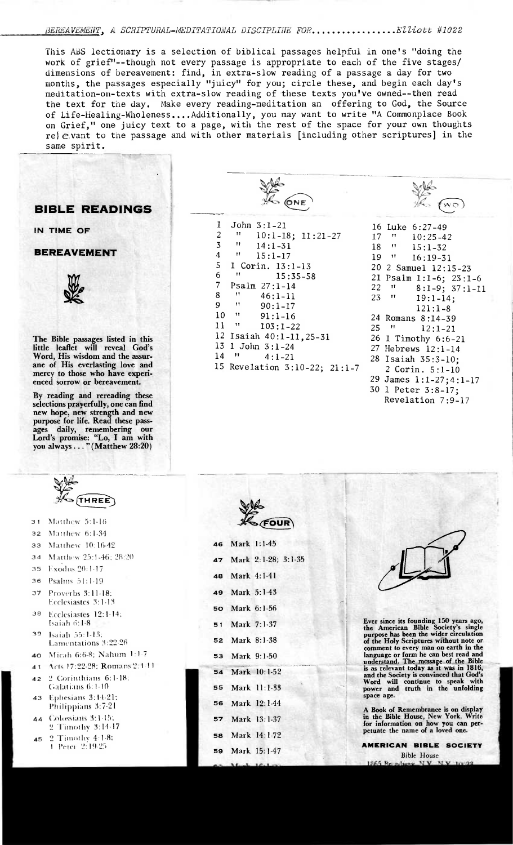## BEREAVEMENT, A SCRIPTURAL-MEDITATIONAL DISCIPLINE FOR..............Elliott #1022

This ABS lectionary is a selection of biblical passages helpful in one's "doing the work of grief"--though not every passage is appropriate to each of the five stages/ dimensions of bereavement: find, in extra-slow reading of a passage a day for two months, the passages especially "juicy" for you; circle these, and begin each day's meditation-on-texts with extra-slow reading of these texts you've owned--then read the text for the day. Make every reading-meditation an offering to God, the Source of Life-healing-Wholeness....Additionally, you may want to write "A Commonplace Book on Grief," one juicy text to a page, with the rest of the space for your own thoughts  $re$ )  $e$  vant to the passage and with other materials [including other scriptures] in the same spirit.

## **BIBLE READINGS**

**IN TIME OF** 

## **BEREAVEMENT**



**The Bible passages listed in this little leaflet will reveal God's Word, His wisdom and the assurane of His everlasting love and mercy to those who have experienced sorrow or bereavement.** 

**By reading and rereading these selections prayerfully, one can find new hope, new strength and new purpose for life. Read these passages daily, remembering our Lord's promise: "Lo, I am with you always ... " (Matthew 28:20)** 

| HRE<br>ь. |  |
|-----------|--|

- **31** Matthew 5:1-16
- **32** Matthew 6:1-34
- **33** Matthew 10:16-42
- **34 M** attlww 25:1-46: 28:20
- **35** Exbdus 20:1-17
- **36** Psalms 51:1-19
- **37** Proverbs 3:11-18; Ecclesiastes 3:1-13
- 36 Ecclesiastes 12:1-14; Isaiah 6:1-8
- **39** Isaiah 55:1-13; Lamentations 3:22-26 **40** Micah 6:6-8; Nahum 1:1-7
- 41 Acts 17:22-28; Romans 2:1-11
- **42** 2 Corinthians 6:1-18:
- Galatians 611-10 Ephestans 3:11-21; 43 Philippians 3:7-21
- **44 ( ul**ossians 311-15; 2 Timothy 3:11-17
- **45** 2 Timothy 4:1-8: 1 Peter 2:19-25

| <b>ALC CONE</b> |                               |  |  |
|-----------------|-------------------------------|--|--|
| 1               | John $3:1-21$                 |  |  |
| 2               | Ħ<br>$10:1-18$ ; $11:21-27$   |  |  |
| 3               | $\blacksquare$<br>$14:1 - 31$ |  |  |
| 4               | Ħ<br>15:1-17                  |  |  |
| 5               | 1 Corin. 13:1-13              |  |  |
| 6               | 11<br>$15:35 - 58$            |  |  |
| $\overline{7}$  | $Psalm_27:1-14$               |  |  |
| 8               | Ħ<br>$46:1 - 11$              |  |  |
| 9               | Ħ<br>$90:1 - 17$              |  |  |
| 10              | $^{\dagger}$<br>$91:1 - 16$   |  |  |
| 11              | 11<br>$103:1 - 22$            |  |  |
|                 | 12 Isaiah 40:1-11, 25-31      |  |  |
|                 | 13 1 John 3:1-24              |  |  |
| $14$ $"$        | $4:1 - 21$                    |  |  |
|                 | 15 Revelation 3:10-22; 21:1-7 |  |  |
|                 |                               |  |  |

|    |                             | $1.12$ $1.12$<br>6 Y.V. 47 J |
|----|-----------------------------|------------------------------|
|    |                             |                              |
|    |                             | 16 Luke 6:27-49              |
| 17 | TT.                         | $10:25-42$                   |
| 18 | $\mathbf{H}$                | $15:1 - 32$                  |
|    | 19 "                        | 16:19-31                     |
|    |                             | 20 2 Samuel 12:15-23         |
|    |                             | 21 Psalm 1:1-6; 23:1-6       |
| 22 | $\mathbf{H}_{\mathrm{max}}$ | $8:1-9$ ; $37:1-11$          |
| 23 | Ħ                           | $19:1 - 14$ ;                |
|    |                             | $121:1 - 8$                  |
|    |                             | 24 Romans 8:14-39            |
| 25 | - 11                        | $12:1 - 21$                  |
|    |                             | 26 1 Timothy 6:6-21          |
|    |                             | 27 Hebrews 12:1-14           |
|    |                             | 28 Isaiah 35:3-10;           |
|    |                             | 2 Corin. 5:1-10              |
|    |                             | 29 James 1:1-27;4:1-17       |
|    |                             | 30 1 Peter 3:8-17;           |
|    |                             | Revelation 7:9-17            |
|    |                             |                              |

| Ve     |
|--------|
|        |
| H FOUR |

**46** Mark 1:1-45

| ⇔ບ |                | $M$ ain $1.1$ <sup>-1</sup> J |  |
|----|----------------|-------------------------------|--|
|    |                | 47 Mark 2:1-28; 3:1-35        |  |
|    | 48 Mark 4:1-41 |                               |  |
|    |                | 49 Mark 5:1-43                |  |
| 50 |                | Mark 6:1-56                   |  |
|    | 51 Mark 7:1-37 |                               |  |
|    |                | 52 Mark 8:1-38                |  |
| 53 |                | Mark 9:1-50                   |  |
| 54 |                | Mark 10:1-52                  |  |
| 55 |                | Mark 11:1-33                  |  |
| 56 |                | Mark 12:1-44                  |  |
| 57 |                | Mark 13:1-37                  |  |
| 58 |                | Mark 14:1-72                  |  |
|    |                | 59 Mark 15:1-47               |  |
|    |                |                               |  |



Ever since its founding 150 years ago, the American Bible Society's single purpose has been the wider circulation of the Holy Scriptures without note or comment to every man on earth in the language or form he can best read and understand. The message of the Bible is as relevant today as it was in 1816, and the Society is convinced that God's Word will continue to speak with power and truth in the unfolding space age.

A Book of Remembrance is on display in the Bible House, New York. Write for information on how you can perpetuate the name of a loved one.

**AMERICAN BIBLE SOCIETY**  Bible House **1865 N** N<sub>V</sub>